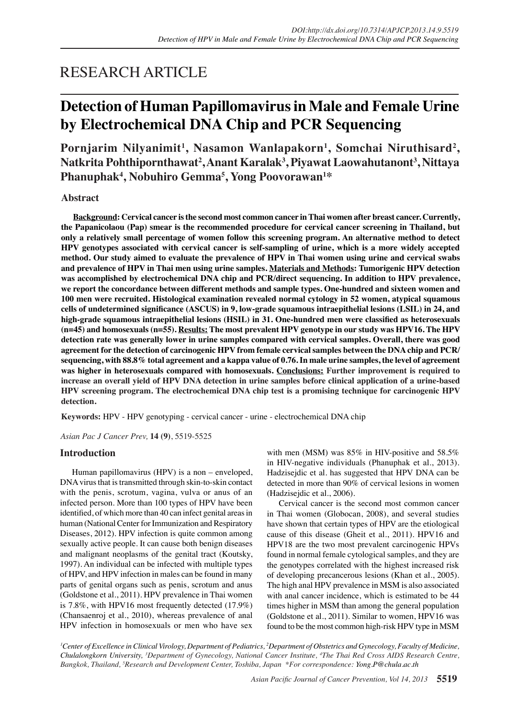# RESEARCH ARTICLE

# **Detection of Human Papillomavirus in Male and Female Urine by Electrochemical DNA Chip and PCR Sequencing**

Pornjarim Nilyanimit<sup>1</sup>, Nasamon Wanlapakorn<sup>1</sup>, Somchai Niruthisard<sup>2</sup>,  $\mathbf{N}$ atkrita Pohthipornthawat<sup>2</sup>, $\mathbf{A}$ nant Karalak $^3,$ Piyawat Laowahutanont $^3,$ Nittaya **Phanuphak4 , Nobuhiro Gemma5 , Yong Poovorawan1 \***

### **Abstract**

**Background: Cervical cancer is the second most common cancer in Thai women after breast cancer. Currently, the Papanicolaou (Pap) smear is the recommended procedure for cervical cancer screening in Thailand, but only a relatively small percentage of women follow this screening program. An alternative method to detect HPV genotypes associated with cervical cancer is self-sampling of urine, which is a more widely accepted method. Our study aimed to evaluate the prevalence of HPV in Thai women using urine and cervical swabs and prevalence of HPV in Thai men using urine samples. Materials and Methods: Tumorigenic HPV detection was accomplished by electrochemical DNA chip and PCR/direct sequencing. In addition to HPV prevalence, we report the concordance between different methods and sample types. One-hundred and sixteen women and 100 men were recruited. Histological examination revealed normal cytology in 52 women, atypical squamous**  cells of undetermined significance (ASCUS) in 9, low-grade squamous intraepithelial lesions (LSIL) in 24, and high-grade squamous intraepithelial lesions (HSIL) in 31. One-hundred men were classified as heterosexuals **(n=45) and homosexuals (n=55). Results: The most prevalent HPV genotype in our study was HPV16. The HPV detection rate was generally lower in urine samples compared with cervical samples. Overall, there was good agreement for the detection of carcinogenic HPV from female cervical samples between the DNA chip and PCR/ sequencing, with 88.8% total agreement and a kappa value of 0.76. In male urine samples, the level of agreement was higher in heterosexuals compared with homosexuals. Conclusions: Further improvement is required to increase an overall yield of HPV DNA detection in urine samples before clinical application of a urine-based HPV screening program. The electrochemical DNA chip test is a promising technique for carcinogenic HPV detection.**

**Keywords:** HPV - HPV genotyping - cervical cancer - urine - electrochemical DNA chip

*Asian Pac J Cancer Prev,* **14 (9)**, 5519-5525

### **Introduction**

Human papillomavirus (HPV) is a non – enveloped, DNA virus that is transmitted through skin-to-skin contact with the penis, scrotum, vagina, vulva or anus of an infected person. More than 100 types of HPV have been identified, of which more than 40 can infect genital areas in human (National Center for Immunization and Respiratory Diseases, 2012). HPV infection is quite common among sexually active people. It can cause both benign diseases and malignant neoplasms of the genital tract (Koutsky, 1997). An individual can be infected with multiple types of HPV, and HPV infection in males can be found in many parts of genital organs such as penis, scrotum and anus (Goldstone et al., 2011). HPV prevalence in Thai women is 7.8%, with HPV16 most frequently detected (17.9%) (Chansaenroj et al., 2010), whereas prevalence of anal HPV infection in homosexuals or men who have sex

with men (MSM) was 85% in HIV-positive and 58.5% in HIV-negative individuals (Phanuphak et al., 2013). Hadzisejdic et al. has suggested that HPV DNA can be detected in more than 90% of cervical lesions in women (Hadzisejdic et al., 2006).

Cervical cancer is the second most common cancer in Thai women (Globocan, 2008), and several studies have shown that certain types of HPV are the etiological cause of this disease (Gheit et al., 2011). HPV16 and HPV18 are the two most prevalent carcinogenic HPVs found in normal female cytological samples, and they are the genotypes correlated with the highest increased risk of developing precancerous lesions (Khan et al., 2005). The high anal HPV prevalence in MSM is also associated with anal cancer incidence, which is estimated to be 44 times higher in MSM than among the general population (Goldstone et al., 2011). Similar to women, HPV16 was found to be the most common high-risk HPV type in MSM

*1 Center of Excellence in Clinical Virology, Department of Pediatrics, 2 Department of Obstetrics and Gynecology, Faculty of Medicine, Chulalongkorn University, 3 Department of Gynecology, National Cancer Institute, 4 The Thai Red Cross AIDS Research Centre, Bangkok, Thailand, 5 Research and Development Center, Toshiba, Japan \*For correspondence: Yong.P@chula.ac.th*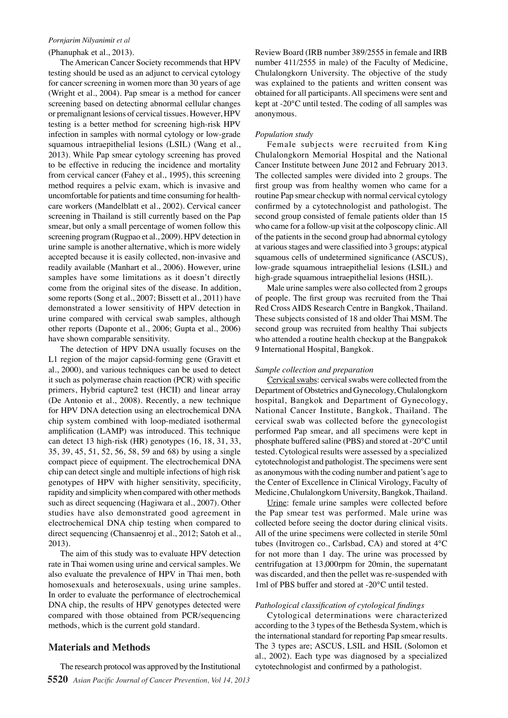### *Pornjarim Nilyanimit et al*

### (Phanuphak et al., 2013).

The American Cancer Society recommends that HPV testing should be used as an adjunct to cervical cytology for cancer screening in women more than 30 years of age (Wright et al., 2004). Pap smear is a method for cancer screening based on detecting abnormal cellular changes or premalignant lesions of cervical tissues. However, HPV testing is a better method for screening high-risk HPV infection in samples with normal cytology or low-grade squamous intraepithelial lesions (LSIL) (Wang et al., 2013). While Pap smear cytology screening has proved to be effective in reducing the incidence and mortality from cervical cancer (Fahey et al., 1995), this screening method requires a pelvic exam, which is invasive and uncomfortable for patients and time consuming for healthcare workers (Mandelblatt et al., 2002). Cervical cancer screening in Thailand is still currently based on the Pap smear, but only a small percentage of women follow this screening program (Rugpao et al., 2009). HPV detection in urine sample is another alternative, which is more widely accepted because it is easily collected, non-invasive and readily available (Manhart et al., 2006). However, urine samples have some limitations as it doesn't directly come from the original sites of the disease. In addition, some reports (Song et al., 2007; Bissett et al., 2011) have demonstrated a lower sensitivity of HPV detection in urine compared with cervical swab samples, although other reports (Daponte et al., 2006; Gupta et al., 2006) have shown comparable sensitivity.

The detection of HPV DNA usually focuses on the L1 region of the major capsid-forming gene (Gravitt et al., 2000), and various techniques can be used to detect it such as polymerase chain reaction (PCR) with specific primers, Hybrid capture2 test (HCII) and linear array (De Antonio et al., 2008). Recently, a new technique for HPV DNA detection using an electrochemical DNA chip system combined with loop-mediated isothermal amplification (LAMP) was introduced. This technique can detect 13 high-risk (HR) genotypes (16, 18, 31, 33, 35, 39, 45, 51, 52, 56, 58, 59 and 68) by using a single compact piece of equipment. The electrochemical DNA chip can detect single and multiple infections of high risk genotypes of HPV with higher sensitivity, specificity, rapidity and simplicity when compared with other methods such as direct sequencing (Hagiwara et al., 2007). Other studies have also demonstrated good agreement in electrochemical DNA chip testing when compared to direct sequencing (Chansaenroj et al., 2012; Satoh et al., 2013).

The aim of this study was to evaluate HPV detection rate in Thai women using urine and cervical samples. We also evaluate the prevalence of HPV in Thai men, both homosexuals and heterosexuals, using urine samples. In order to evaluate the performance of electrochemical DNA chip, the results of HPV genotypes detected were compared with those obtained from PCR/sequencing methods, which is the current gold standard.

### **Materials and Methods**

Review Board (IRB number 389/2555 in female and IRB number 411/2555 in male) of the Faculty of Medicine, Chulalongkorn University. The objective of the study was explained to the patients and written consent was obtained for all participants. All specimens were sent and kept at -20°C until tested. The coding of all samples was anonymous.

### *Population study*

Female subjects were recruited from King Chulalongkorn Memorial Hospital and the National Cancer Institute between June 2012 and February 2013. The collected samples were divided into 2 groups. The first group was from healthy women who came for a routine Pap smear checkup with normal cervical cytology confirmed by a cytotechnologist and pathologist. The second group consisted of female patients older than 15 who came for a follow-up visit at the colposcopy clinic. All of the patients in the second group had abnormal cytology at various stages and were classified into 3 groups; atypical squamous cells of undetermined significance (ASCUS), low-grade squamous intraepithelial lesions (LSIL) and high-grade squamous intraepithelial lesions (HSIL).

Male urine samples were also collected from 2 groups of people. The first group was recruited from the Thai Red Cross AIDS Research Centre in Bangkok, Thailand. These subjects consisted of 18 and older Thai MSM. The second group was recruited from healthy Thai subjects who attended a routine health checkup at the Bangpakok 9 International Hospital, Bangkok.

### *Sample collection and preparation*

Cervical swabs: cervical swabs were collected from the Department of Obstetrics and Gynecology, Chulalongkorn hospital, Bangkok and Department of Gynecology, National Cancer Institute, Bangkok, Thailand. The cervical swab was collected before the gynecologist performed Pap smear, and all specimens were kept in phosphate buffered saline (PBS) and stored at -20°C until tested. Cytological results were assessed by a specialized cytotechnologist and pathologist. The specimens were sent as anonymous with the coding number and patient's age to the Center of Excellence in Clinical Virology, Faculty of Medicine, Chulalongkorn University, Bangkok, Thailand.

Urine: female urine samples were collected before the Pap smear test was performed. Male urine was collected before seeing the doctor during clinical visits. All of the urine specimens were collected in sterile 50ml tubes (Invitrogen co., Carlsbad, CA) and stored at 4°C for not more than 1 day. The urine was processed by centrifugation at 13,000rpm for 20min, the supernatant was discarded, and then the pellet was re-suspended with 1ml of PBS buffer and stored at -20°C until tested.

### *Pathological classification of cytological findings*

Cytological determinations were characterized according to the 3 types of the Bethesda System, which is the international standard for reporting Pap smear results. The 3 types are; ASCUS, LSIL and HSIL (Solomon et al., 2002). Each type was diagnosed by a specialized cytotechnologist and confirmed by a pathologist.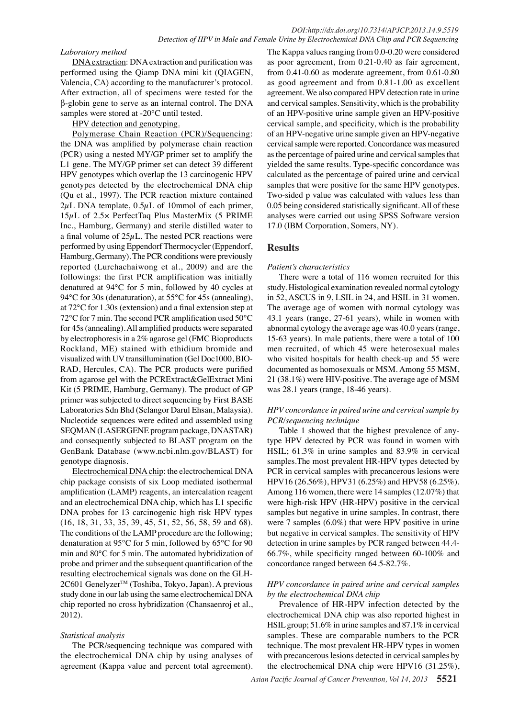### *Laboratory method*

DNA extraction: DNA extraction and purification was performed using the Qiamp DNA mini kit (QIAGEN, Valencia, CA) according to the manufacturer's protocol. After extraction, all of specimens were tested for the  $\beta$ -globin gene to serve as an internal control. The DNA samples were stored at -20°C until tested.

### HPV detection and genotyping.

Polymerase Chain Reaction (PCR)/Sequencing: the DNA was amplified by polymerase chain reaction (PCR) using a nested MY/GP primer set to amplify the L1 gene. The MY/GP primer set can detect 39 different HPV genotypes which overlap the 13 carcinogenic HPV genotypes detected by the electrochemical DNA chip (Qu et al., 1997). The PCR reaction mixture contained  $2\mu$ L DNA template,  $0.5\mu$ L of 10mmol of each primer,  $15\mu$ L of  $2.5\times$  PerfectTaq Plus MasterMix (5 PRIME Inc., Hamburg, Germany) and sterile distilled water to a final volume of  $25\mu$ L. The nested PCR reactions were performed by using Eppendorf Thermocycler (Eppendorf, Hamburg, Germany). The PCR conditions were previously reported (Lurchachaiwong et al., 2009) and are the followings: the first PCR amplification was initially denatured at  $94^{\circ}$ C for 5 min, followed by 40 cycles at 94 $\rm ^{o}C$  for 30s (denaturation), at 55 $\rm ^{o}C$  for 45s (annealing), at  $72^{\circ}$ C for 1.30s (extension) and a final extension step at  $72^{\circ}$ C for 7 min. The second PCR amplification used 50 $^{\circ}$ C for 45s (annealing). All amplified products were separated by electrophoresis in a 2% agarose gel (FMC Bioproducts Rockland, ME) stained with ethidium bromide and visualized with UV transillumination (Gel Doc1000, BIO-RAD, Hercules, CA). The PCR products were purified from agarose gel with the PCRExtract&GelExtract Mini Kit (5 PRIME, Hamburg, Germany). The product of GP primer was subjected to direct sequencing by First BASE Laboratories Sdn Bhd (Selangor Darul Ehsan, Malaysia). Nucleotide sequences were edited and assembled using SEQMAN (LASERGENE program package, DNASTAR) and consequently subjected to BLAST program on the GenBank Database (www.ncbi.nlm.gov/BLAST) for genotype diagnosis.

Electrochemical DNA chip: the electrochemical DNA chip package consists of six Loop mediated isothermal amplification (LAMP) reagents, an intercalation reagent and an electrochemical DNA chip, which has L1 specific DNA probes for 13 carcinogenic high risk HPV types  $(16, 18, 31, 33, 35, 39, 45, 51, 52, 56, 58, 59, 59, 68)$ . The conditions of the LAMP procedure are the following; denaturation at 95°C for 5 min, followed by 65°C for 90 min and 80°C for 5 min. The automated hybridization of probe and primer and the subsequent quantification of the resulting electrochemical signals was done on the GLH-2C601 Genelyzer™ (Toshiba, Tokyo, Japan). A previous study done in our lab using the same electrochemical DNA chip reported no cross hybridization (Chansaenroj et al., 2012).

### *Statistical analysis*

The PCR/sequencing technique was compared with the electrochemical DNA chip by using analyses of agreement (Kappa value and percent total agreement).

The Kappa values ranging from 0.0-0.20 were considered as poor agreement, from  $0.21$ -0.40 as fair agreement, from  $0.41$ -0.60 as moderate agreement, from  $0.61$ -0.80 as good agreement and from 0.81-1.00 as excellent agreement. We also compared HPV detection rate in urine and cervical samples. Sensitivity, which is the probability of an HPV-positive urine sample given an HPV-positive cervical sample, and specificity, which is the probability of an HPV-negative urine sample given an HPV-negative cervical sample were reported. Concordance was measured as the percentage of paired urine and cervical samples that yielded the same results. Type-specific concordance was calculated as the percentage of paired urine and cervical samples that were positive for the same HPV genotypes. Two-sided p value was calculated with values less than 0.05 being considered statistically significant. All of these analyses were carried out using SPSS Software version 17.0 (IBM Corporation, Somers, NY).

# **Results**

### *Patient's characteristics*

There were a total of 116 women recruited for this study. Histological examination revealed normal cytology in 52, ASCUS in 9, LSIL in 24, and HSIL in 31 women. The average age of women with normal cytology was 43.1 years (range, 27-61 years), while in women with abnormal cytology the average age was 40.0 years (range, 15-63 years). In male patients, there were a total of 100 men recruited, of which 45 were heterosexual males who visited hospitals for health check-up and 55 were documented as homosexuals or MSM. Among 55 MSM, 21 (38.1%) were HIV-positive. The average age of MSM was  $28.1$  years (range,  $18-46$  years).

### *HPV concordance in paired urine and cervical sample by PCR/sequencing technique*

Table 1 showed that the highest prevalence of anytype HPV detected by PCR was found in women with HSIL; 61.3% in urine samples and 83.9% in cervical samples.The most prevalent HR-HPV types detected by PCR in cervical samples with precancerous lesions were HPV16 (26.56%), HPV31 (6.25%) and HPV58 (6.25%). Among 116 women, there were 14 samples  $(12.07\%)$  that were high-risk HPV (HR-HPV) positive in the cervical samples but negative in urine samples. In contrast, there were 7 samples (6.0%) that were HPV positive in urine but negative in cervical samples. The sensitivity of HPV detection in urine samples by PCR ranged between 44.4-66.7%, while specificity ranged between 60-100% and concordance ranged between 64.5-82.7%.

## *HPV concordance in paired urine and cervical samples by the electrochemical DNA chip*

Prevalence of HR-HPV infection detected by the electrochemical DNA chip was also reported highest in HSIL group; 51.6% in urine samples and 87.1% in cervical samples. These are comparable numbers to the PCR technique. The most prevalent HR-HPV types in women with precancerous lesions detected in cervical samples by the electrochemical DNA chip were HPV16 (31.25%),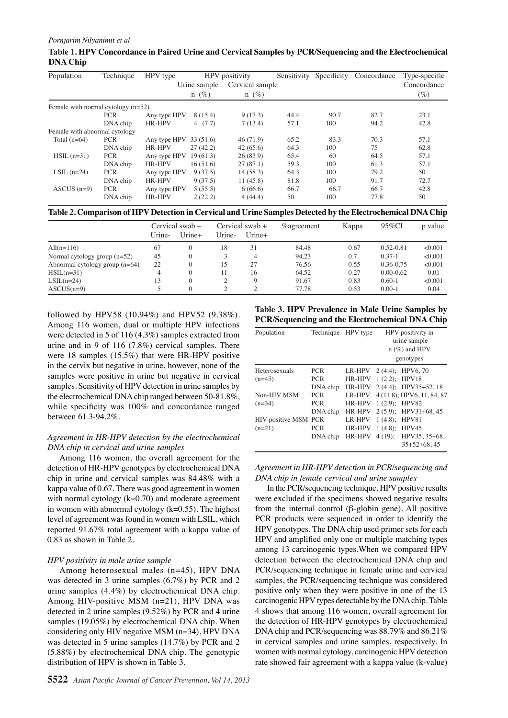### Table 1. **HPV Concordance in Paired Urine and Cervical Samples by PCR/Sequencing and the Electrochemical DNA Chip**

| Population                           | Technique  | HPV type     | HPV positivity     |                 | Sensitivity |      | Specificity Concordance | Type-specific |
|--------------------------------------|------------|--------------|--------------------|-----------------|-------------|------|-------------------------|---------------|
|                                      |            |              | Urine sample       | Cervical sample |             |      |                         | Concordance   |
|                                      |            |              | $n(\%)$<br>$n(\%)$ |                 |             |      |                         | $(\%)$        |
| Female with normal cytology $(n=52)$ |            |              |                    |                 |             |      |                         |               |
|                                      | <b>PCR</b> | Any type HPV | 8 (15.4)           | 9(17.3)         | 44.4        | 90.7 | 82.7                    | 23.1          |
|                                      | DNA chip   | HR-HPV       | 4(7.7)             | 7(13.4)         | 57.1        | 100  | 94.2                    | 42.8          |
| Female with abnormal cytology        |            |              |                    |                 |             |      |                         |               |
| Total $(n=64)$                       | <b>PCR</b> | Any type HPV | 33(51.6)           | 46(71.9)        | 65.2        | 83.3 | 70.3                    | 57.1          |
|                                      | DNA chip   | HR-HPV       | 27(42.2)           | 42(65.6)        | 64.3        | 100  | 75                      | 62.8          |
| $HSL(n=31)$                          | <b>PCR</b> | Any type HPV | 19(61.3)           | 12008099        | 65.4        | 60   | 64.5                    | 57.1          |
|                                      | DNA chip   | HR-HPV       | 16(51.6)           | 27(87.1)        | 59.3        | 100  | 61.3                    | 57.1          |
| LSIL $(n=24)$                        | <b>PCR</b> | Any type HPV | 9(37.5)            | 14(58.3)        | 64.3        | 100  | 79.2                    | 50            |
|                                      | DNA chip   | HR-HPV       | 9(37.5)            | 11(45.8)        | 81.8        | 100  | 91.7                    | 72.7          |
| $ASCUS (n=9)$                        | <b>PCR</b> | Any type HPV | 5(55.5)            |                 | 66.7        | 66.7 | 66.7                    | 42.8          |
|                                      | DNA chip   | HR-HPV       | 2(22.2)            | 25660           | 50          | 100  | 77.8                    | 50            |

Table 2. Comparison of HPV Detection in Cervical and Urine Samples Detected by the Electrochemical DNA Chip

|                                  | Urine- | Cervical swab –<br>$U$ rine+ | Urine- | Cervication +<br>$U$ rine $+$ | <i>%</i> agreement | Kappa | 95%CI         | p value |
|----------------------------------|--------|------------------------------|--------|-------------------------------|--------------------|-------|---------------|---------|
| All $(n=116)$                    | 67     | $\Omega$                     | 18     | 31                            | 84.48              | 0.67  | $0.52 - 0.81$ | < 0.001 |
| Normal cytology group $(n=52)$   | 45     | $\Omega$                     |        |                               | 94.23              | 0.7   | $0.37 - 1$    | < 0.001 |
| Abnormal cytology group $(n=64)$ | 22     | $\Omega$                     | 5      | 25.O                          | 76.56              | 0.55  | 0.36-0.75     | < 0.001 |
| $HSL(n=31)$                      | 4      | $\Omega$                     |        | 16                            | 64.52              | 0.27  | $0.00 - 0.62$ | 0.01    |
| $LSIL(n=24)$                     | 13     | $\theta$                     |        | 9                             | 91.67              | 0.83  | $0.60 - 1$    | < 0.001 |
| $ASCUS(n=9)$                     |        | $\theta$                     |        | $\bigcirc$                    | 77.78              | 0.53  | $0.00 - 1$    | 0.04    |
|                                  |        |                              |        |                               |                    |       |               |         |

0

Among 116 women, dual or multiple HPV infections were detected in 5 of 116 (4.3%) samples extracted from urine and in 9 of 116 (7.8%) cervical samples. There  $75.0$ were 18 samples (15.5%) that were HR-HPV positive in the cervix but negative in urine, however, none of the samples were positive in urine but negative in cervical samples. Sensitivity of HPV detection in urine samples by 50.0 the electrochemical DNA chip ranged between 50-81.8%, while specificity was  $100\%$  and concordance ranged between  $61.3 - 94.2\%$ . 25.0

### *Agreement in HR-HPV detection by the electrochemical DNA chip in cervical and urine samples*

Among 116 women, the overall agreement for the detection of HR-HPV genotypes by electrochemical DNA chip in urine and cervical samples was  $84.48\%$  with a kappa value of 0.67. There was good agreement in women with normal cytology (k=0.70) and moderate agreement in women with abnormal cytology  $(k=0.55)$ . The highest level of agreement was found in women with LSIL, which reported 91.67% total agreement with a kappa value of 0.83 as shown in Table 2.

### *HPV positivity in male urine sample*

Among heterosexual males  $(n=45)$ , HPV DNA was detected in 3 urine samples (6.7%) by PCR and 2 urine samples  $(4.4\%)$  by electrochemical DNA chip. Among HIV-positive MSM (n=21), HPV DNA was detected in 2 urine samples  $(9.52\%)$  by PCR and 4 urine samples (19.05%) by electrochemical DNA chip. When considering only HIV negative MSM ( $n=34$ ), HPV DNA was detected in 5 urine samples  $(14.7%)$  by PCR and 2 (5.88%) by electrochemical DNA chip. The genotypic distribution of HPV is shown in Table 3.

followed by HPV58 (10.94%) and HPV52 (9.38%)**100.0**<br>The Condensity of the Elementary and Lettin China **3 PCR/Seqğencing ağd the El&trochemical DNA Chip** Remission

| Tech <b>il</b> ique          | HPVaype       |                       | HPY positivity in                                                                                 |
|------------------------------|---------------|-----------------------|---------------------------------------------------------------------------------------------------|
|                              |               |                       | urine sample<br>$n$ (%) and HPV                                                                   |
| 56                           |               |                       | genotypes                                                                                         |
| $PCR\Xi$                     | LR-HPV        | $2(4.4)$ :            | HPV6.70                                                                                           |
| PCR <sub>2</sub>             |               | $1(2.2)$ ;            | HPV18                                                                                             |
| DNA chip                     | <b>HR-HPV</b> |                       | 2 (4.4); HPV35+52, 18                                                                             |
| $PCR\bar{ }$                 | <b>LR-HPV</b> |                       | 4 (11.8); HPV6, 11, 84, 87                                                                        |
| $PCR\overline{\mathbb{Z}}$   | <b>HR-HPV</b> | $1(2.9)$ ;            | HPV82                                                                                             |
| DNA chip                     | <b>HR-HPV</b> | $2(5.9)$ ;            | HPV31+68, 45                                                                                      |
| <b>CHIV-positive MSM PCR</b> | <b>LR-HPV</b> | 1(4.8);               | HPV81                                                                                             |
| <b>PCR</b>                   | <b>HR-HPV</b> | 1(4.8);               | HPV45                                                                                             |
| DNA chip                     | <b>HR-HPV</b> | $4(19)$ ;             | HPV35, 35+68,                                                                                     |
|                              |               |                       | $35+52+68,45$                                                                                     |
|                              |               | $HR - \overline{RP}V$ | Table 3. HPV Prevalence in Male Uriae Samples by<br>PCR/Seqğencing ağd the Eletrochemral DNA Chip |

*Agreement in HR-HPV detection in PCR/sequencing and DNA chip in female cervical and urine samples* Remission

In the **ECR**/sequencing technique, HPV positive results were excluded if the specimens showed negative results from the internal control ( $\beta$ -grobin gene). All positive PCR products were sequence  $\ddot{\mathbf{a}}$  in order to identify the HPV genotypes. The DNA chingused primer sets for each  $HPV$  and  $\frac{2}{\mathbb{B}}$ mplified  $\frac{2}{\mathbb{B}}$ nly one  $\tilde{\mathbb{B}}$  multiple matching types among  $13\frac{2}{3}$  carcinogenic types. When we compared HPV detection  $\frac{1}{2}$ etween the electrochemical DNA chip and PCR/sequencing technique in female urine and cervical samples, the PCR/sequencing technique was considered positive only when they were positive in one of the 13 carcinogenic HPV types detectable by the DNA chip. Table 4 shows that among 116 women, overall agreement for the detection of HR-HPV genotypes by electrochemical DNA chip and PCR/sequencing was 88.79% and 86.21% in cervical samples and urine samples, respectively. In women with normal cytology, carcinogenic HPV detection rate showed fair agreement with a kappa value (k-value) Newly diagnostic diagnosed without Newly diagnosed with treatment Persistence or recurrence

None

None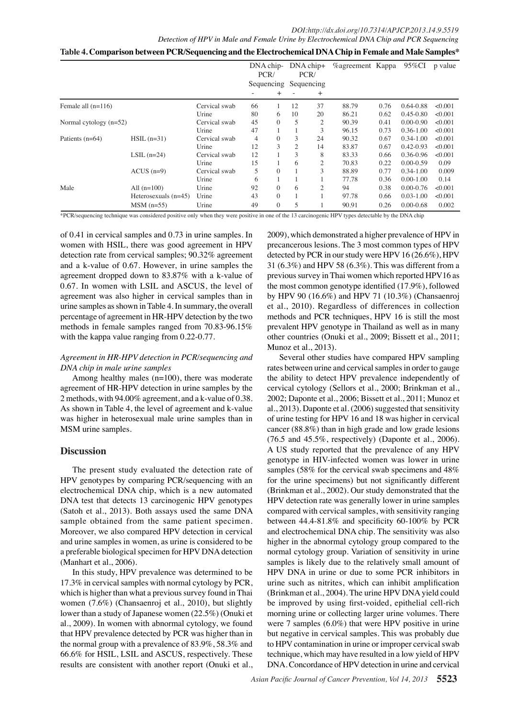| *Table 4. Comparison between PCR/Sequencing and the Electrochemical DNA Chip in Female and Male Samples |  |  |  |  |  |
|---------------------------------------------------------------------------------------------------------|--|--|--|--|--|
|                                                                                                         |  |  |  |  |  |

|                          |                        |               | DNA chip-<br>PCR/ |          | $DNA chip+$<br>PCR/<br>Sequencing Sequencing |                | <b><i>Cagreement</i></b> Kappa |      | 95%CI         | p value         |
|--------------------------|------------------------|---------------|-------------------|----------|----------------------------------------------|----------------|--------------------------------|------|---------------|-----------------|
|                          |                        |               |                   |          |                                              |                |                                |      |               |                 |
|                          |                        |               |                   |          |                                              | $^+$           |                                |      |               |                 |
| Female all $(n=116)$     |                        | Cervical swab | 66                |          | 12                                           | 37             | 88.79                          | 0.76 | $0.64 - 0.88$ | < 0.001         |
|                          |                        | Urine         | 80                | 6        | 10                                           | 20             | 86.21                          | 0.62 | $0.45 - 0.80$ | < 0.001         |
| Normal cytology $(n=52)$ |                        | Cervical swab | 45                | $\Omega$ | 5                                            | $\overline{c}$ | 90.39                          | 0.41 | $0.00 - 0.90$ | < 0.001         |
|                          |                        | Urine         | 47                |          |                                              | 3              | 96.15                          | 0.73 | $0.36 - 1.00$ | < 0.001         |
| Patients $(n=64)$        | $HSL(n=31)$            | Cervical swab | 4                 | $\Omega$ | 3                                            | 24             | 90.32                          | 0.67 | $0.34 - 1.00$ | < 0.001         |
|                          |                        | Urine         | 12                | 3        | $\overline{c}$                               | 14             | 83.87                          | 0.67 | $0.42 - 0.93$ | < 0.001         |
|                          | LSIL $(n=24)$          | Cervical swab | 12                |          | 3                                            | 8              | 83.33                          | 0.66 | 0.36-0.96     | < 0.001100.0    |
|                          |                        | Urine         | 15                |          | 6                                            | $\overline{2}$ | 70.83                          | 0.22 | $0.00 - 0.59$ | 0.09            |
|                          | $ACUS$ (n=9)           | Cervical swab | 5                 | $\Omega$ |                                              | 3              | 88.89                          | 0.77 | $0.34 - 1.00$ | 0.009           |
|                          |                        | Urine         | 6                 |          |                                              |                | 77.78                          | 0.36 | $0.00 - 1.00$ | 0.14            |
| Male                     | All $(n=100)$          | Urine         | 92                | $\Omega$ | 6                                            | $\overline{2}$ | 94                             | 0.38 | $0.00 - 0.76$ | < 0.001<br>75.0 |
|                          | Heterosexuals $(n=45)$ | Urine         | 43                | $\Omega$ |                                              |                | 97.78                          | 0.66 | $0.03 - 1.00$ | < 0.001         |
|                          | $MSM$ (n=55)           | Urine         | 49                | $\theta$ | 5                                            |                | 90.91                          | 0.26 | $0.00 - 0.68$ | 0.002           |

\*PCR/sequencing technique was considered positive only when they were positive in one of the 13 carcinogenic HPV types detectable by the DNA chip

of 0.41 in cervical samples and  $0.73$  in urine samples. In women with HSIL, there was good agreement in HPV detection rate from cervical samples; 90.32% agreement and a k-value of 0.67. However, in urine samples the agreement dropped down to 83.87% with a k-value of 0.67. In women with LSIL and ASCUS, the level of agreement was also higher in cervical samples than in urine samples as shown in Table 4. In summary, the overall percentage of agreement in HR-HPV detection by the two methods in female samples ranged from 70.83-96.15% with the kappa value ranging from 0.22-0.77.

### *Agreement in HR-HPV detection in PCR/sequencing and DNA chip in male urine samples*

Among healthy males (n=100), there was moderate agreement of HR-HPV detection in urine samples by the 2 methods, with  $94.00\%$  agreement, and a k-value of 0.38. As shown in Table 4, the level of agreement and k-value was higher in heterosexual male urine samples than in MSM urine samples.

## **Discussion**

and urine samples in women, as urine is considered to be  $\theta_{\theta}$  digher in the abnormal cytology group compared to the (Satoh et al., 2013). Both assays used the same DNA50.0 compared with cervical samples, with sensitivity ranging HPV genotypes by comparing PCR/sequencing with an<sup>75.0</sup> for the urine specimens) but not significantly different The present study evaluated the detection rate of electrochemical DNA chip, which is a new automated DNA test that detects 13 carcinogenic HPV genotypes sample obtained from the same patient specimen. Moreover, we also compared HPV detection in cervical a preferable biological specimen for HPV DNA detection (Manhart et al., 2006).

17.3% in cervical samples with normal cytology by PCR,  $75.0$ rine such as nitrites, which can inhibit amplification 66.6% for HSIL, LSIL and ASCUS, respectively. These  $25.0$ echnique which mag have resulted in a low yield of HPV lower than a study of Japanese women  $(22.5\%)$  (Onuki et  $\frac{1}{50}$  morning  $\frac{1}{20}$  me or collecting larger urine  $\frac{1}{20}$  lumes. There In this study, HPV prevalence was determined to be which is higher than what a previous survey found in Thai women (7.6%) (Chansaenroj et al., 2010), but slightly al., 2009). In women with abnormal cytology, we found that HPV prevalence detected by PCR was higher than in the normal group with a prevalence of 83.9%, 58.3% and results are consistent with another report (Onuki et al.,

0 detected by PCR in our study were HPV 16 (26.6%), HPV  $_{25.0}$ <br>21 (6.2%),  $_{11}$  UNV 58 (6.2%), TU see Tife and for  $_{25.0}$ 2009), which demonstrated a higher prevalence of HPV in precancerous lesions. The 3 most common types of HPV 31 (6.3%) and HPV 58 (6.3%). This was different from a previous survey in Thai women which reported HPV16 as the most common genotype identified  $(17.9\%)$ , followed by HPV 90 (16.6%) and HPV 71 (10.3%) (Chansaenroj et al., 2010). Regardless of differences in collection methods and PCR techniques, HPV 16 is still the most prevalent HPV genotype in Thailand as well as in many other countries (Onuki et al., 2009; Bissett et al., 2011; Munoz et al., 2013).

Several other studies have compared HPV sampling rates between urine and cervical samples in order to gauge the ability to detect HPV prevalence independently of cervical cytology (Sellors et al., 2000; Brinkman et al., 2002; Daponte et al., 2006; Bissett et al., 2011; Munoz et al., 2013). Daponte et al. (2006) suggested that sensitivity of urine testing for HPV 16 and 18 was higher in cervical cancer (88.8%) than in high grade and low grade lesions

 $100.076.5$  and 45.5%, respectively) (Daponte et al., 2006). Newly diagnosed with two threatments Newly deagnosed with treatment Persistence or recurrence Remission A US study reported that the prevalence of any HPV genotype in HIV-infected women was lower in urine samples (58% for the cervical swab specimens and  $48\%$ (Brinkman et al., 2002). Our study demonstrated that the HPV detection rate was generally lower in urine samples between  $44.4 - 81.8\%$  and specificity 60-100% by PCR and electrochemical DNA chip. The sensitivity was also normal cytology group. Variation of sensitivity in urine samples is likely due to the relatively small amount of HPV DNA in urine or due to some PCR inhibitors in (Brinkma $\theta$  et al., 20 $\theta$ 4). The urther HPV DNA yield could be improfed by using first-voided, epinelial cell-rich were 7 samples  $(6.0\%)$  that were HPV positive in urine but negative in cervical samples. This was probably due to HPV contamination in urine  $\delta$ r improper cervical swab DNA. Concordance of HPV detection in urine and cervical

zurrence

urrence

Remission

mission

atment

atment

atmenN

atmenNewl

None

50.0

Newly diagnosed without treatment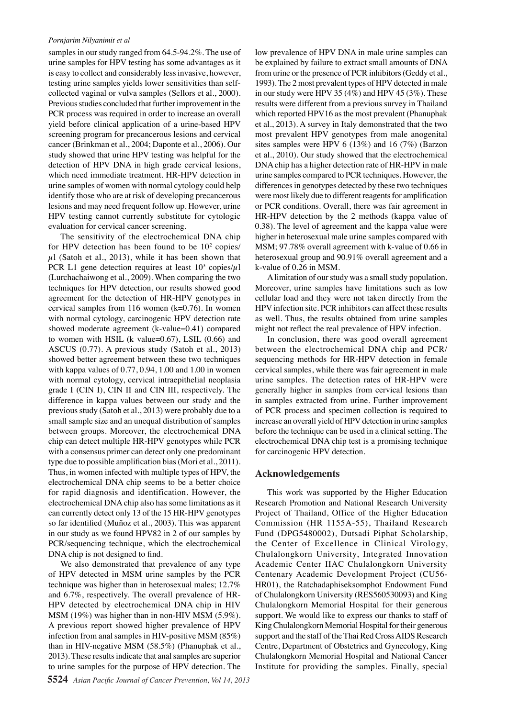### *Pornjarim Nilyanimit et al*

samples in our study ranged from  $64.5\n-94.2\%$ . The use of urine samples for HPV testing has some advantages as it is easy to collect and considerably less invasive, however, testing urine samples yields lower sensitivities than selfcollected vaginal or vulva samples (Sellors et al., 2000). Previous studies concluded that further improvement in the PCR process was required in order to increase an overall yield before clinical application of a urine-based HPV screening program for precancerous lesions and cervical cancer (Brinkman et al., 2004; Daponte et al., 2006). Our study showed that urine HPV testing was helpful for the detection of HPV DNA in high grade cervical lesions, which need immediate treatment. HR-HPV detection in urine samples of women with normal cytology could help identify those who are at risk of developing precancerous lesions and may need frequent follow up. However, urine HPV testing cannot currently substitute for cytologic evaluation for cervical cancer screening.

The sensitivity of the electrochemical DNA chip for HPV detection has been found to be  $10<sup>2</sup>$  copies/  $\mu$ l (Satoh et al., 2013), while it has been shown that PCR L1 gene detection requires at least  $10^3$  copies/ $\mu$ 1 (Lurchachaiwong et al., 2009). When comparing the two techniques for HPV detection, our results showed good agreement for the detection of HR-HPV genotypes in cervical samples from 116 women  $(k=0.76)$ . In women with normal cytology, carcinogenic HPV detection rate showed moderate agreement (k-value= $0.41$ ) compared to women with HSIL (k value= $0.67$ ), LSIL  $(0.66)$  and ASCUS (0.77). A previous study (Satoh et al., 2013) showed better agreement between these two techniques with kappa values of  $0.77, 0.94, 1.00$  and  $1.00$  in women with normal cytology, cervical intraepithelial neoplasia grade I (CIN I), CIN II and CIN III, respectively. The difference in kappa values between our study and the previous study (Satoh et al., 2013) were probably due to a small sample size and an unequal distribution of samples between groups. Moreover, the electrochemical DNA chip can detect multiple HR-HPV genotypes while PCR with a consensus primer can detect only one predominant type due to possible amplification bias (Mori et al., 2011). Thus, in women infected with multiple types of HPV, the electrochemical DNA chip seems to be a better choice for rapid diagnosis and identification. However, the electrochemical DNA chip also has some limitations as it can currently detect only 13 of the 15 HR-HPV genotypes so far identified (Muñoz et al., 2003). This was apparent in our study as we found HPV82 in 2 of our samples by PCR/sequencing technique, which the electrochemical DNA chip is not designed to find.

We also demonstrated that prevalence of any type of HPV detected in MSM urine samples by the PCR technique was higher than in heterosexual males; 12.7% and 6.7%, respectively. The overall prevalence of HR-HPV detected by electrochemical DNA chip in HIV MSM (19%) was higher than in non-HIV MSM (5.9%). A previous report showed higher prevalence of HPV infection from anal samples in HIV-positive MSM (85%) than in HIV-negative MSM (58.5%) (Phanuphak et al., 2013). These results indicate that anal samples are superior to urine samples for the purpose of HPV detection. The

low prevalence of HPV DNA in male urine samples can be explained by failure to extract small amounts of DNA from urine or the presence of PCR inhibitors (Geddy et al., 1993). The 2 most prevalent types of HPV detected in male in our study were HPV 35 (4%) and HPV 45 (3%). These results were different from a previous survey in Thailand which reported HPV16 as the most prevalent (Phanuphak et al., 2013). A survey in Italy demonstrated that the two most prevalent HPV genotypes from male anogenital sites samples were HPV 6 (13%) and 16 (7%) (Barzon et al., 2010). Our study showed that the electrochemical DNA chip has a higher detection rate of HR-HPV in male urine samples compared to PCR techniques. However, the differences in genotypes detected by these two techniques were most likely due to different reagents for amplification or PCR conditions. Overall, there was fair agreement in HR-HPV detection by the 2 methods (kappa value of 0.38). The level of agreement and the kappa value were higher in heterosexual male urine samples compared with MSM; 97.78% overall agreement with k-value of 0.66 in heterosexual group and 90.91% overall agreement and a k-value of 0.26 in MSM.

A limitation of our study was a small study population. Moreover, urine samples have limitations such as low cellular load and they were not taken directly from the HPV infection site. PCR inhibitors can affect these results as well. Thus, the results obtained from urine samples might not reflect the real prevalence of HPV infection.

In conclusion, there was good overall agreement between the electrochemical DNA chip and PCR/ sequencing methods for HR-HPV detection in female cervical samples, while there was fair agreement in male urine samples. The detection rates of HR-HPV were generally higher in samples from cervical lesions than in samples extracted from urine. Further improvement of PCR process and specimen collection is required to increase an overall yield of HPV detection in urine samples before the technique can be used in a clinical setting. The electrochemical DNA chip test is a promising technique for carcinogenic HPV detection.

### **Acknowledgements**

This work was supported by the Higher Education Research Promotion and National Research University Project of Thailand, Office of the Higher Education Commission (HR 1155A-55), Thailand Research Fund (DPG5480002), Dutsadi Piphat Scholarship, the Center of Excellence in Clinical Virology, Chulalongkorn University, Integrated Innovation Academic Center IIAC Chulalongkorn University Centenary Academic Development Project (CU56- HR01), the Ratchadaphiseksomphot Endowment Fund of Chulalongkorn University (RES560530093) and King Chulalongkorn Memorial Hospital for their generous support. We would like to express our thanks to staff of King Chulalongkorn Memorial Hospital for their generous support and the staff of the Thai Red Cross AIDS Research Centre, Department of Obstetrics and Gynecology, King Chulalongkorn Memorial Hospital and National Cancer Institute for providing the samples. Finally, special